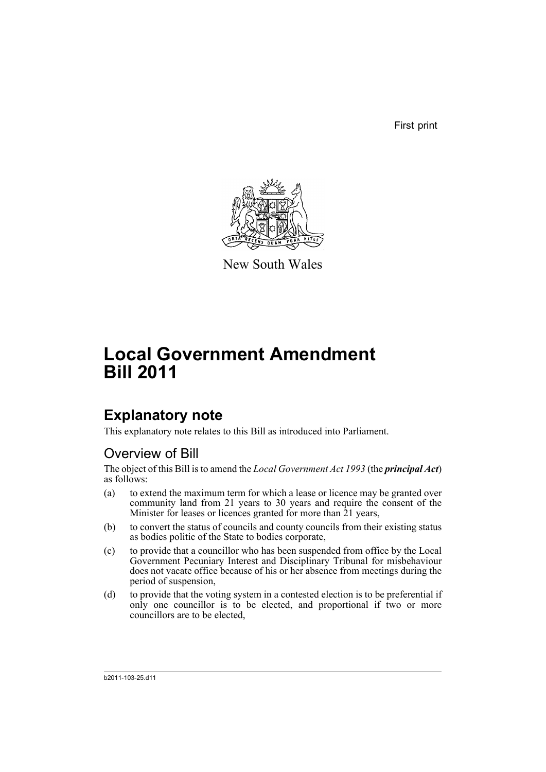First print



New South Wales

# **Local Government Amendment Bill 2011**

## **Explanatory note**

This explanatory note relates to this Bill as introduced into Parliament.

### Overview of Bill

The object of this Bill is to amend the *Local Government Act 1993* (the *principal Act*) as follows:

- (a) to extend the maximum term for which a lease or licence may be granted over community land from 21 years to 30 years and require the consent of the Minister for leases or licences granted for more than 21 years,
- (b) to convert the status of councils and county councils from their existing status as bodies politic of the State to bodies corporate,
- (c) to provide that a councillor who has been suspended from office by the Local Government Pecuniary Interest and Disciplinary Tribunal for misbehaviour does not vacate office because of his or her absence from meetings during the period of suspension,
- (d) to provide that the voting system in a contested election is to be preferential if only one councillor is to be elected, and proportional if two or more councillors are to be elected,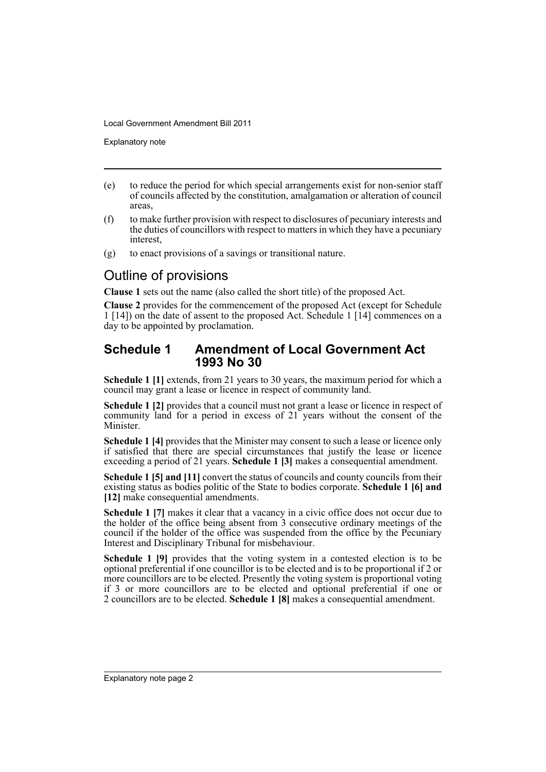Explanatory note

- (e) to reduce the period for which special arrangements exist for non-senior staff of councils affected by the constitution, amalgamation or alteration of council areas,
- (f) to make further provision with respect to disclosures of pecuniary interests and the duties of councillors with respect to matters in which they have a pecuniary interest,
- (g) to enact provisions of a savings or transitional nature.

### Outline of provisions

**Clause 1** sets out the name (also called the short title) of the proposed Act.

**Clause 2** provides for the commencement of the proposed Act (except for Schedule 1 [14]) on the date of assent to the proposed Act. Schedule 1 [14] commences on a day to be appointed by proclamation.

#### **Schedule 1 Amendment of Local Government Act 1993 No 30**

**Schedule 1** [1] extends, from 21 years to 30 years, the maximum period for which a council may grant a lease or licence in respect of community land.

**Schedule 1 [2]** provides that a council must not grant a lease or licence in respect of community land for a period in excess of 21 years without the consent of the Minister.

**Schedule 1 [4]** provides that the Minister may consent to such a lease or licence only if satisfied that there are special circumstances that justify the lease or licence exceeding a period of 21 years. **Schedule 1 [3]** makes a consequential amendment.

**Schedule 1 [5] and [11]** convert the status of councils and county councils from their existing status as bodies politic of the State to bodies corporate. **Schedule 1 [6] and [12]** make consequential amendments.

**Schedule 1 [7]** makes it clear that a vacancy in a civic office does not occur due to the holder of the office being absent from 3 consecutive ordinary meetings of the council if the holder of the office was suspended from the office by the Pecuniary Interest and Disciplinary Tribunal for misbehaviour.

**Schedule 1 [9]** provides that the voting system in a contested election is to be optional preferential if one councillor is to be elected and is to be proportional if 2 or more councillors are to be elected. Presently the voting system is proportional voting if 3 or more councillors are to be elected and optional preferential if one or 2 councillors are to be elected. **Schedule 1 [8]** makes a consequential amendment.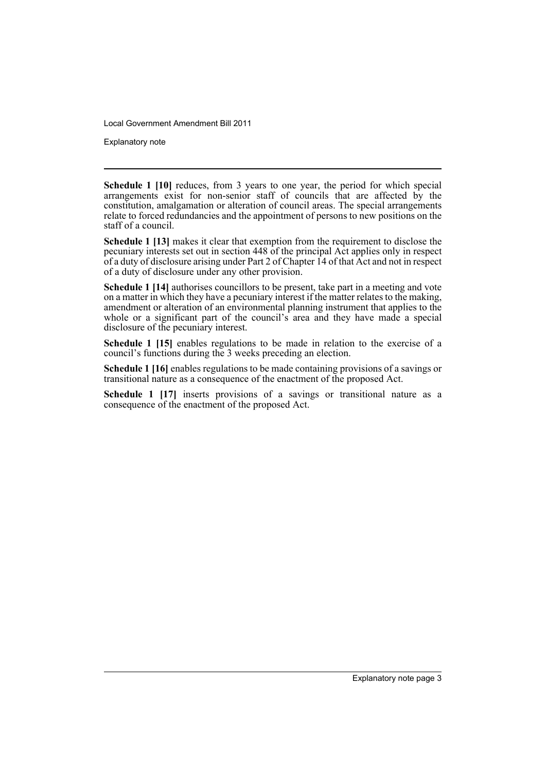Explanatory note

**Schedule 1 [10]** reduces, from 3 years to one year, the period for which special arrangements exist for non-senior staff of councils that are affected by the constitution, amalgamation or alteration of council areas. The special arrangements relate to forced redundancies and the appointment of persons to new positions on the staff of a council.

**Schedule 1 [13]** makes it clear that exemption from the requirement to disclose the pecuniary interests set out in section 448 of the principal Act applies only in respect of a duty of disclosure arising under Part 2 of Chapter  $14$  of that Act and not in respect of a duty of disclosure under any other provision.

**Schedule 1 [14]** authorises councillors to be present, take part in a meeting and vote on a matter in which they have a pecuniary interest if the matter relates to the making, amendment or alteration of an environmental planning instrument that applies to the whole or a significant part of the council's area and they have made a special disclosure of the pecuniary interest.

**Schedule 1 [15]** enables regulations to be made in relation to the exercise of a council's functions during the 3 weeks preceding an election.

**Schedule 1 [16]** enables regulations to be made containing provisions of a savings or transitional nature as a consequence of the enactment of the proposed Act.

**Schedule 1 [17]** inserts provisions of a savings or transitional nature as a consequence of the enactment of the proposed Act.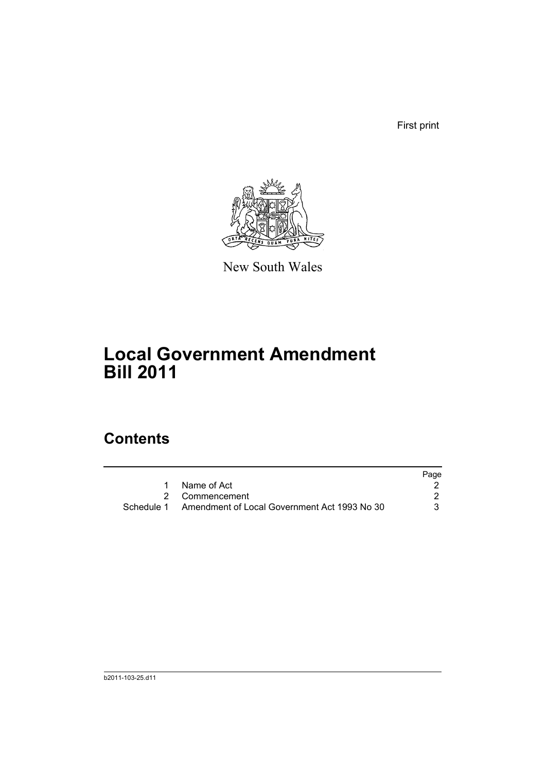First print



New South Wales

## **Local Government Amendment Bill 2011**

### **Contents**

|                                                         | Page |
|---------------------------------------------------------|------|
| Name of Act                                             |      |
| 2 Commencement                                          |      |
| Schedule 1 Amendment of Local Government Act 1993 No 30 | 3    |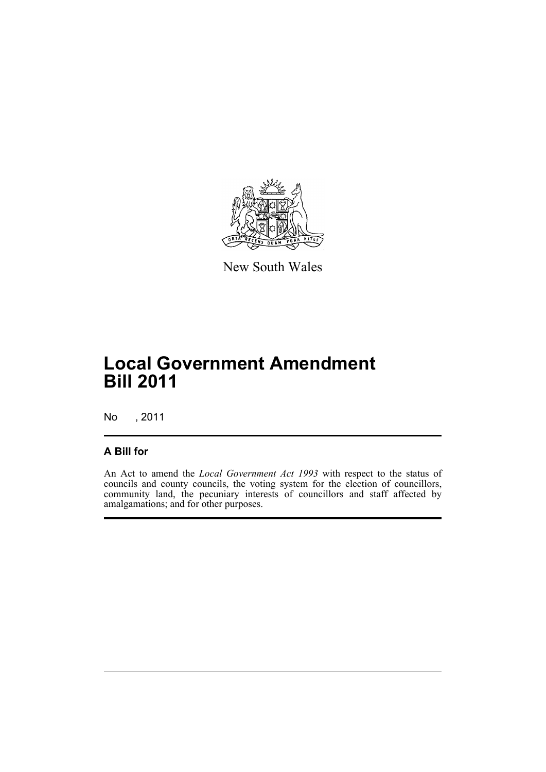

New South Wales

## **Local Government Amendment Bill 2011**

No , 2011

#### **A Bill for**

An Act to amend the *Local Government Act 1993* with respect to the status of councils and county councils, the voting system for the election of councillors, community land, the pecuniary interests of councillors and staff affected by amalgamations; and for other purposes.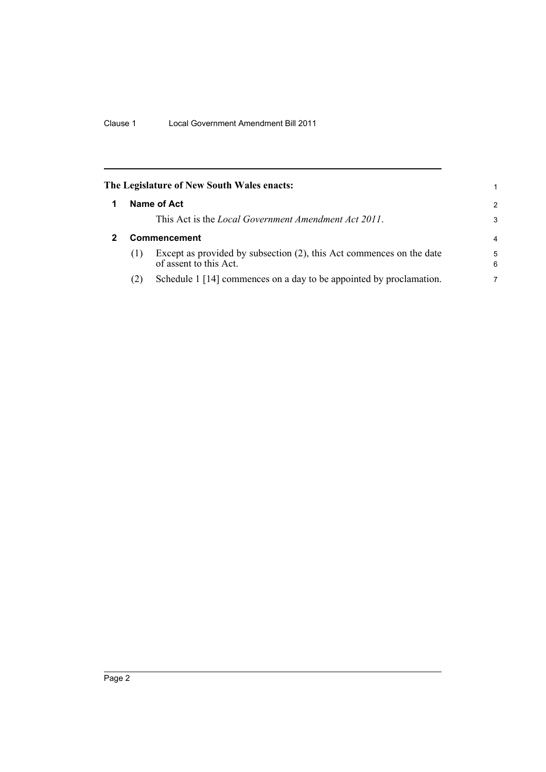<span id="page-7-1"></span><span id="page-7-0"></span>

|     | The Legislature of New South Wales enacts:                                                     | 1             |
|-----|------------------------------------------------------------------------------------------------|---------------|
|     | Name of Act                                                                                    | $\mathcal{P}$ |
|     | This Act is the <i>Local Government Amendment Act 2011</i> .                                   | 3             |
|     | <b>Commencement</b>                                                                            | 4             |
| (1) | Except as provided by subsection (2), this Act commences on the date<br>of assent to this Act. | 5<br>6        |
| (2) | Schedule 1 [14] commences on a day to be appointed by proclamation.                            | 7             |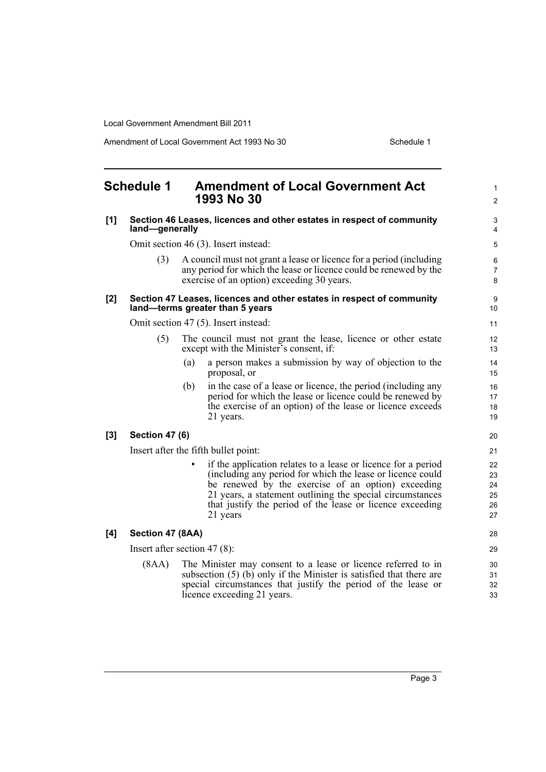Amendment of Local Government Act 1993 No 30 Schedule 1

<span id="page-8-0"></span>

| <b>Schedule 1</b> |                                                                                                          | <b>Amendment of Local Government Act</b><br>1993 No 30                                                                                                                                                                                                                                                                               | 1<br>$\overline{2}$              |  |
|-------------------|----------------------------------------------------------------------------------------------------------|--------------------------------------------------------------------------------------------------------------------------------------------------------------------------------------------------------------------------------------------------------------------------------------------------------------------------------------|----------------------------------|--|
| [1]               | Section 46 Leases, licences and other estates in respect of community<br>land—generally                  |                                                                                                                                                                                                                                                                                                                                      |                                  |  |
|                   |                                                                                                          | Omit section 46 (3). Insert instead:                                                                                                                                                                                                                                                                                                 | 5                                |  |
|                   | (3)                                                                                                      | A council must not grant a lease or licence for a period (including<br>any period for which the lease or licence could be renewed by the<br>exercise of an option) exceeding 30 years.                                                                                                                                               | 6<br>7<br>8                      |  |
| $[2]$             | Section 47 Leases, licences and other estates in respect of community<br>land-terms greater than 5 years |                                                                                                                                                                                                                                                                                                                                      |                                  |  |
|                   |                                                                                                          | Omit section 47 (5). Insert instead:                                                                                                                                                                                                                                                                                                 | 11                               |  |
|                   | (5)                                                                                                      | The council must not grant the lease, licence or other estate<br>except with the Minister's consent, if:                                                                                                                                                                                                                             | 12<br>13                         |  |
|                   |                                                                                                          | a person makes a submission by way of objection to the<br>(a)<br>proposal, or                                                                                                                                                                                                                                                        | 14<br>15                         |  |
|                   |                                                                                                          | in the case of a lease or licence, the period (including any<br>(b)<br>period for which the lease or licence could be renewed by<br>the exercise of an option) of the lease or licence exceeds<br>21 years.                                                                                                                          | 16<br>17<br>18<br>19             |  |
| [3]               | <b>Section 47 (6)</b>                                                                                    |                                                                                                                                                                                                                                                                                                                                      | 20                               |  |
|                   |                                                                                                          | Insert after the fifth bullet point:                                                                                                                                                                                                                                                                                                 | 21                               |  |
|                   |                                                                                                          | if the application relates to a lease or licence for a period<br>$\bullet$<br>(including any period for which the lease or licence could<br>be renewed by the exercise of an option) exceeding<br>21 years, a statement outlining the special circumstances<br>that justify the period of the lease or licence exceeding<br>21 years | 22<br>23<br>24<br>25<br>26<br>27 |  |
| [4]               | Section 47 (8AA)                                                                                         |                                                                                                                                                                                                                                                                                                                                      | 28                               |  |
|                   |                                                                                                          | Insert after section 47 $(8)$ :                                                                                                                                                                                                                                                                                                      | 29                               |  |
|                   | (8AA)                                                                                                    | The Minister may consent to a lease or licence referred to in<br>subsection $(5)$ (b) only if the Minister is satisfied that there are<br>special circumstances that justify the period of the lease or<br>licence exceeding 21 years.                                                                                               | 30<br>31<br>32<br>33             |  |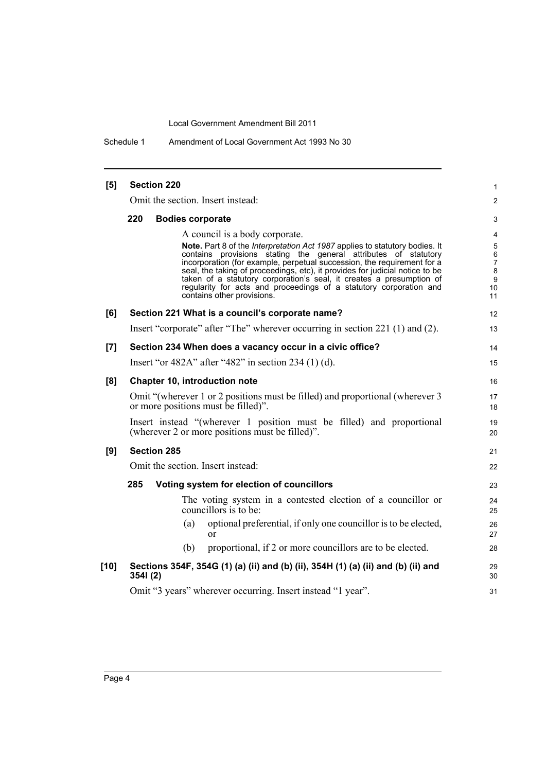Schedule 1 Amendment of Local Government Act 1993 No 30

| [5]    | <b>Section 220</b>                                                                                                                                                                                                                                                                                                                                                                                                                                                                    | 1                                 |
|--------|---------------------------------------------------------------------------------------------------------------------------------------------------------------------------------------------------------------------------------------------------------------------------------------------------------------------------------------------------------------------------------------------------------------------------------------------------------------------------------------|-----------------------------------|
|        | Omit the section. Insert instead:                                                                                                                                                                                                                                                                                                                                                                                                                                                     | 2                                 |
|        | 220<br><b>Bodies corporate</b>                                                                                                                                                                                                                                                                                                                                                                                                                                                        | 3                                 |
|        | A council is a body corporate.                                                                                                                                                                                                                                                                                                                                                                                                                                                        | 4                                 |
|        | Note. Part 8 of the Interpretation Act 1987 applies to statutory bodies. It<br>contains provisions stating the general attributes of statutory<br>incorporation (for example, perpetual succession, the requirement for a<br>seal, the taking of proceedings, etc), it provides for judicial notice to be<br>taken of a statutory corporation's seal, it creates a presumption of<br>regularity for acts and proceedings of a statutory corporation and<br>contains other provisions. | 5<br>6<br>7<br>8<br>9<br>10<br>11 |
| [6]    | Section 221 What is a council's corporate name?                                                                                                                                                                                                                                                                                                                                                                                                                                       | 12                                |
|        | Insert "corporate" after "The" wherever occurring in section 221 (1) and (2).                                                                                                                                                                                                                                                                                                                                                                                                         | 13                                |
| [7]    | Section 234 When does a vacancy occur in a civic office?                                                                                                                                                                                                                                                                                                                                                                                                                              | 14                                |
|        | Insert "or 482A" after "482" in section 234 $(1)$ (d).                                                                                                                                                                                                                                                                                                                                                                                                                                | 15                                |
| [8]    | <b>Chapter 10, introduction note</b>                                                                                                                                                                                                                                                                                                                                                                                                                                                  | 16                                |
|        | Omit "(wherever 1 or 2 positions must be filled) and proportional (wherever 3<br>or more positions must be filled)".                                                                                                                                                                                                                                                                                                                                                                  | 17<br>18                          |
|        | Insert instead "(wherever 1 position must be filled) and proportional<br>(wherever 2 or more positions must be filled)".                                                                                                                                                                                                                                                                                                                                                              | 19<br>20                          |
| [9]    | <b>Section 285</b>                                                                                                                                                                                                                                                                                                                                                                                                                                                                    | 21                                |
|        | Omit the section. Insert instead:                                                                                                                                                                                                                                                                                                                                                                                                                                                     | 22                                |
|        | 285<br>Voting system for election of councillors                                                                                                                                                                                                                                                                                                                                                                                                                                      | 23                                |
|        | The voting system in a contested election of a councillor or<br>councillors is to be:                                                                                                                                                                                                                                                                                                                                                                                                 | 24<br>25                          |
|        | optional preferential, if only one councillor is to be elected,<br>(a)<br>or                                                                                                                                                                                                                                                                                                                                                                                                          | 26<br>27                          |
|        | proportional, if 2 or more councillors are to be elected.<br>(b)                                                                                                                                                                                                                                                                                                                                                                                                                      | 28                                |
| $[10]$ | Sections 354F, 354G (1) (a) (ii) and (b) (ii), 354H (1) (a) (ii) and (b) (ii) and<br>3541(2)                                                                                                                                                                                                                                                                                                                                                                                          | 29<br>30                          |
|        | Omit "3 years" wherever occurring. Insert instead "1 year".                                                                                                                                                                                                                                                                                                                                                                                                                           | 31                                |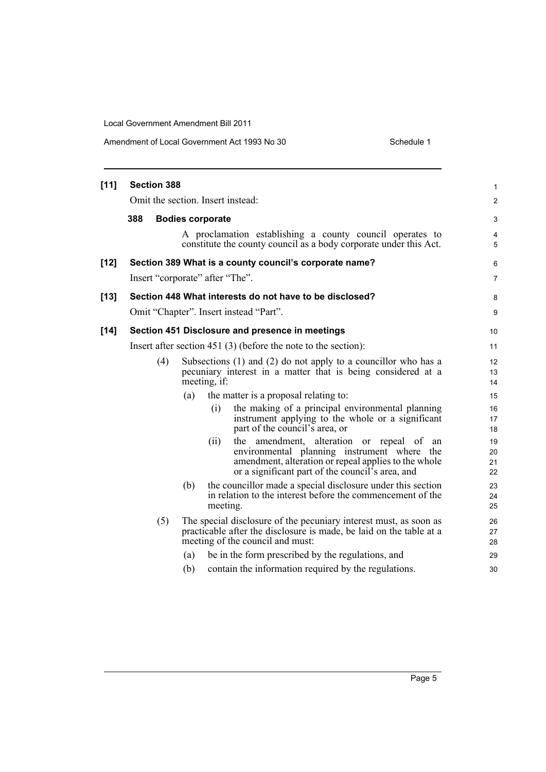Amendment of Local Government Act 1993 No 30

| Schedule 1 |  |
|------------|--|
|            |  |

| $[11]$ | <b>Section 388</b>                                             |     |                         |                                                                                                                                                                                                         | 1                    |
|--------|----------------------------------------------------------------|-----|-------------------------|---------------------------------------------------------------------------------------------------------------------------------------------------------------------------------------------------------|----------------------|
|        | Omit the section. Insert instead:                              |     |                         |                                                                                                                                                                                                         | $\overline{c}$       |
|        | 388                                                            |     | <b>Bodies corporate</b> |                                                                                                                                                                                                         | 3                    |
|        |                                                                |     |                         | A proclamation establishing a county council operates to<br>constitute the county council as a body corporate under this Act.                                                                           | 4<br>5               |
| [12]   |                                                                |     |                         | Section 389 What is a county council's corporate name?                                                                                                                                                  | 6                    |
|        | Insert "corporate" after "The".                                |     |                         |                                                                                                                                                                                                         | 7                    |
| [13]   |                                                                |     |                         | Section 448 What interests do not have to be disclosed?                                                                                                                                                 | 8                    |
|        |                                                                |     |                         | Omit "Chapter". Insert instead "Part".                                                                                                                                                                  | 9                    |
| [14]   |                                                                |     |                         | Section 451 Disclosure and presence in meetings                                                                                                                                                         | 10                   |
|        | Insert after section 451 (3) (before the note to the section): |     |                         |                                                                                                                                                                                                         |                      |
|        | (4)                                                            |     | meeting, if:            | Subsections $(1)$ and $(2)$ do not apply to a councillor who has a<br>pecuniary interest in a matter that is being considered at a                                                                      | 12<br>13<br>14       |
|        |                                                                | (a) |                         | the matter is a proposal relating to:                                                                                                                                                                   | 15                   |
|        |                                                                |     | (i)                     | the making of a principal environmental planning<br>instrument applying to the whole or a significant<br>part of the council's area, or                                                                 | 16<br>17<br>18       |
|        |                                                                |     | (ii)                    | the amendment, alteration or repeal of<br>an<br>environmental planning instrument where the<br>amendment, alteration or repeal applies to the whole<br>or a significant part of the council's area, and | 19<br>20<br>21<br>22 |
|        |                                                                | (b) | meeting.                | the councillor made a special disclosure under this section<br>in relation to the interest before the commencement of the                                                                               | 23<br>24<br>25       |
|        | (5)                                                            |     |                         | The special disclosure of the pecuniary interest must, as soon as<br>practicable after the disclosure is made, be laid on the table at a<br>meeting of the council and must:                            | 26<br>27<br>28       |
|        |                                                                | (a) |                         | be in the form prescribed by the regulations, and                                                                                                                                                       | 29                   |
|        |                                                                | (b) |                         | contain the information required by the regulations.                                                                                                                                                    | 30                   |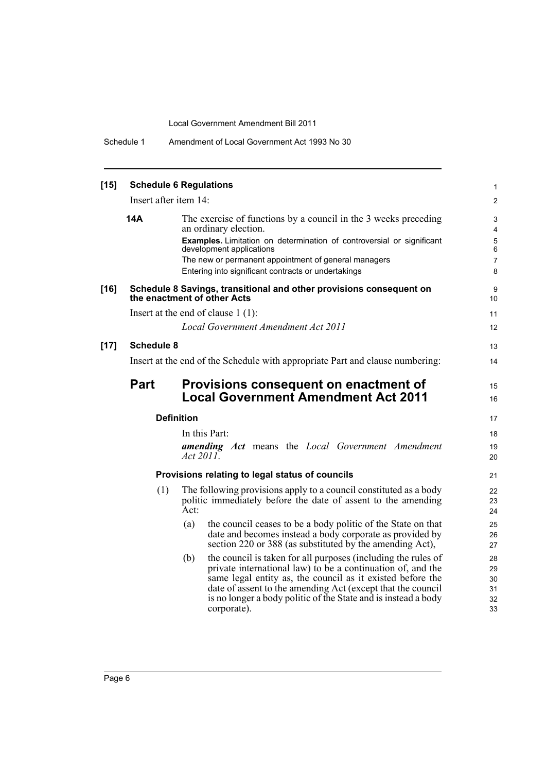Schedule 1 Amendment of Local Government Act 1993 No 30

| $[15]$ | <b>Schedule 6 Regulations</b>                                                                      |                                                                                                                                                                                                                                                                                                                                                   |                                         |  |  |
|--------|----------------------------------------------------------------------------------------------------|---------------------------------------------------------------------------------------------------------------------------------------------------------------------------------------------------------------------------------------------------------------------------------------------------------------------------------------------------|-----------------------------------------|--|--|
|        | Insert after item 14:                                                                              |                                                                                                                                                                                                                                                                                                                                                   |                                         |  |  |
|        | 14A                                                                                                | The exercise of functions by a council in the 3 weeks preceding<br>an ordinary election.<br>Examples. Limitation on determination of controversial or significant<br>development applications<br>The new or permanent appointment of general managers<br>Entering into significant contracts or undertakings                                      | 3<br>4<br>5<br>6<br>$\overline{7}$<br>8 |  |  |
| $[16]$ | Schedule 8 Savings, transitional and other provisions consequent on<br>the enactment of other Acts |                                                                                                                                                                                                                                                                                                                                                   |                                         |  |  |
|        |                                                                                                    | Insert at the end of clause $1(1)$ :                                                                                                                                                                                                                                                                                                              | 11                                      |  |  |
|        |                                                                                                    | Local Government Amendment Act 2011                                                                                                                                                                                                                                                                                                               | 12                                      |  |  |
| $[17]$ | <b>Schedule 8</b>                                                                                  |                                                                                                                                                                                                                                                                                                                                                   | 13                                      |  |  |
|        |                                                                                                    | Insert at the end of the Schedule with appropriate Part and clause numbering:                                                                                                                                                                                                                                                                     | 14                                      |  |  |
|        | <b>Part</b>                                                                                        | Provisions consequent on enactment of<br><b>Local Government Amendment Act 2011</b>                                                                                                                                                                                                                                                               | 15<br>16                                |  |  |
|        |                                                                                                    | <b>Definition</b>                                                                                                                                                                                                                                                                                                                                 | 17                                      |  |  |
|        |                                                                                                    | In this Part:                                                                                                                                                                                                                                                                                                                                     | 18                                      |  |  |
|        |                                                                                                    | <b>amending Act</b> means the Local Government Amendment<br>Act 2011.                                                                                                                                                                                                                                                                             | 19<br>20                                |  |  |
|        |                                                                                                    | Provisions relating to legal status of councils                                                                                                                                                                                                                                                                                                   | 21                                      |  |  |
|        | (1)                                                                                                | The following provisions apply to a council constituted as a body<br>politic immediately before the date of assent to the amending<br>Act:                                                                                                                                                                                                        | 22<br>23<br>24                          |  |  |
|        |                                                                                                    | the council ceases to be a body politic of the State on that<br>(a)<br>date and becomes instead a body corporate as provided by<br>section 220 or 388 (as substituted by the amending Act),                                                                                                                                                       | 25<br>26<br>27                          |  |  |
|        |                                                                                                    | the council is taken for all purposes (including the rules of<br>(b)<br>private international law) to be a continuation of, and the<br>same legal entity as, the council as it existed before the<br>date of assent to the amending Act (except that the council<br>is no longer a body politic of the State and is instead a body<br>corporate). | 28<br>29<br>30<br>31<br>32<br>33        |  |  |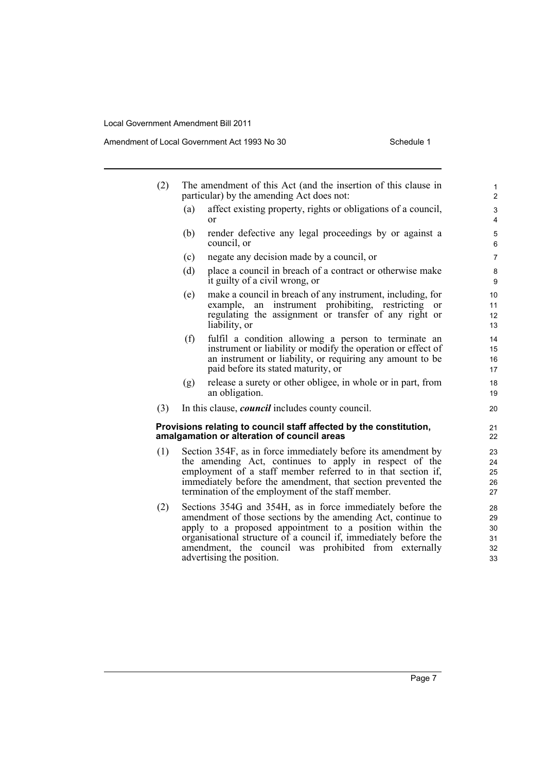Amendment of Local Government Act 1993 No 30 Schedule 1

| (2) | The amendment of this Act (and the insertion of this clause in |
|-----|----------------------------------------------------------------|
|     | particular) by the amending Act does not:                      |

- (a) affect existing property, rights or obligations of a council, or
- (b) render defective any legal proceedings by or against a council, or
- (c) negate any decision made by a council, or
- (d) place a council in breach of a contract or otherwise make it guilty of a civil wrong, or
- (e) make a council in breach of any instrument, including, for example, an instrument prohibiting, restricting or regulating the assignment or transfer of any right or liability, or
- (f) fulfil a condition allowing a person to terminate an instrument or liability or modify the operation or effect of an instrument or liability, or requiring any amount to be paid before its stated maturity, or
- (g) release a surety or other obligee, in whole or in part, from an obligation.
- (3) In this clause, *council* includes county council.

#### **Provisions relating to council staff affected by the constitution, amalgamation or alteration of council areas**

- (1) Section 354F, as in force immediately before its amendment by the amending Act, continues to apply in respect of the employment of a staff member referred to in that section if, immediately before the amendment, that section prevented the termination of the employment of the staff member.
- (2) Sections 354G and 354H, as in force immediately before the amendment of those sections by the amending Act, continue to apply to a proposed appointment to a position within the organisational structure of a council if, immediately before the amendment, the council was prohibited from externally advertising the position.

Page 7